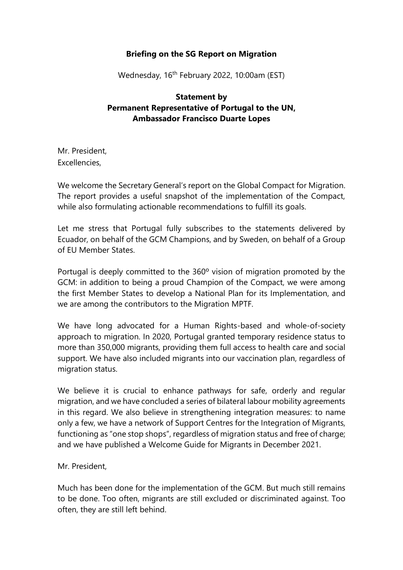## **Briefing on the SG Report on Migration**

Wednesday, 16<sup>th</sup> February 2022, 10:00am (EST)

## **Statement by Permanent Representative of Portugal to the UN, Ambassador Francisco Duarte Lopes**

Mr. President, Excellencies,

We welcome the Secretary General's report on the Global Compact for Migration. The report provides a useful snapshot of the implementation of the Compact, while also formulating actionable recommendations to fulfill its goals.

Let me stress that Portugal fully subscribes to the statements delivered by Ecuador, on behalf of the GCM Champions, and by Sweden, on behalf of a Group of EU Member States.

Portugal is deeply committed to the 360º vision of migration promoted by the GCM: in addition to being a proud Champion of the Compact, we were among the first Member States to develop a National Plan for its Implementation, and we are among the contributors to the Migration MPTF.

We have long advocated for a Human Rights-based and whole-of-society approach to migration. In 2020, Portugal granted temporary residence status to more than 350,000 migrants, providing them full access to health care and social support. We have also included migrants into our vaccination plan, regardless of migration status.

We believe it is crucial to enhance pathways for safe, orderly and regular migration, and we have concluded a series of bilateral labour mobility agreements in this regard. We also believe in strengthening integration measures: to name only a few, we have a network of Support Centres for the Integration of Migrants, functioning as "one stop shops", regardless of migration status and free of charge; and we have published a Welcome Guide for Migrants in December 2021.

Mr. President,

Much has been done for the implementation of the GCM. But much still remains to be done. Too often, migrants are still excluded or discriminated against. Too often, they are still left behind.